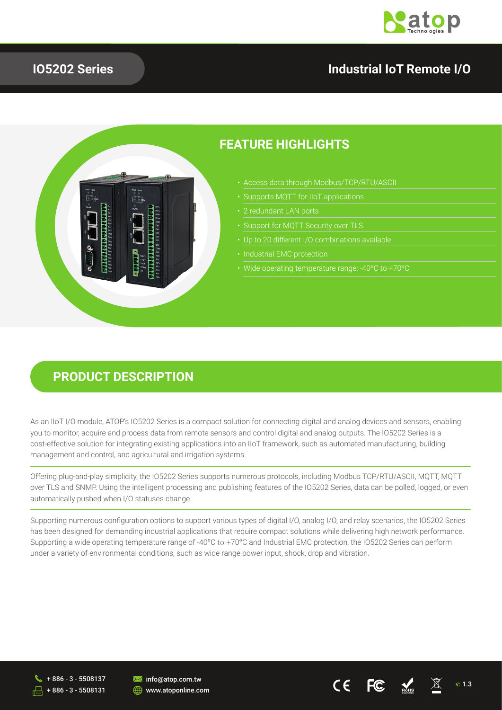

## **IO5202 Series**

### **Industrial IoT Remote I/O**



## **FEATURE HIGHLIGHTS**

- Access data through Modbus/TCP/RTU/ASCII
- 
- 
- 
- 
- 
- Wide operating temperature range: -40ºC to +70ºC

CE

#### **PRODUCT DESCRIPTION**

As an IIoT I/O module, ATOP's IO5202 Series is a compact solution for connecting digital and analog devices and sensors, enabling you to monitor, acquire and process data from remote sensors and control digital and analog outputs. The IO5202 Series is a cost-effective solution for integrating existing applications into an IIoT framework, such as automated manufacturing, building management and control, and agricultural and irrigation systems.

Offering plug-and-play simplicity, the IO5202 Series supports numerous protocols, including Modbus TCP/RTU/ASCII, MQTT, MQTT over TLS and SNMP. Using the intelligent processing and publishing features of the IO5202 Series, data can be polled, logged, or even automatically pushed when I/O statuses change.

Supporting numerous configuration options to support various types of digital I/O, analog I/O, and relay scenarios, the IO5202 Series has been designed for demanding industrial applications that require compact solutions while delivering high network performance. Supporting a wide operating temperature range of -40ºC to +70ºC and Industrial EMC protection, the IO5202 Series can perform under a variety of environmental conditions, such as wide range power input, shock, drop and vibration.

+ 886 - 3 - 5508137 + 886 - 3 - 5508131

**M** info@atop.com.tw **WWW.atoponline.com**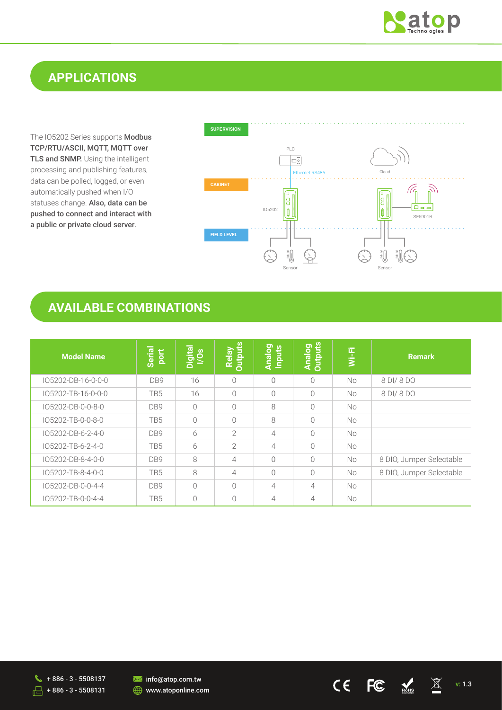

 $\boxed{\boxtimes}$ 

RoHS

# **APPLICATIONS**

The IO5202 Series supports Modbus TCP/RTU/ASCII, MQTT, MQTT over TLS and SNMP. Using the intelligent processing and publishing features, data can be polled, logged, or even automatically pushed when I/O statuses change. Also, data can be pushed to connect and interact with a public or private cloud server.



 $C\epsilon$ 

 $FC$ 

## **AVAILABLE COMBINATIONS**

| <b>Model Name</b>  | Serial<br>port  | Digital<br>I/Os | <b>Outputs</b><br>Relay | <b>Analog</b><br>Inputs | <b>Analog</b><br>Outputs | $Wi-Fi$   | <b>Remark</b>            |
|--------------------|-----------------|-----------------|-------------------------|-------------------------|--------------------------|-----------|--------------------------|
| IO5202-DB-16-0-0-0 | DB <sub>9</sub> | 16              | 0                       | $\Omega$                | $\bigcirc$               | <b>No</b> | 8 DI/8 DO                |
| IO5202-TB-16-0-0-0 | TB <sub>5</sub> | 16              | $\bigcirc$              | $\bigcap$               | $\bigcap$                | No.       | 8 DI/ 8 DO               |
| IO5202-DB-0-0-8-0  | DB9             | $\bigcap$       | $\bigcirc$              | 8                       | $\bigcap$                | <b>No</b> |                          |
| IO5202-TB-0-0-8-0  | TB <sub>5</sub> | $\bigcirc$      | $\bigcirc$              | 8                       | $\bigcirc$               | No.       |                          |
| IO5202-DB-6-2-4-0  | DB9             | 6               | $\overline{2}$          | $\overline{4}$          | $\bigcap$                | <b>No</b> |                          |
| IO5202-TB-6-2-4-0  | TB <sub>5</sub> | 6               | $\overline{2}$          | $\overline{4}$          | $\bigcirc$               | <b>No</b> |                          |
| IO5202-DB-8-4-0-0  | DB9             | 8               | $\overline{4}$          | $\Omega$                | $\bigcirc$               | <b>No</b> | 8 DIO, Jumper Selectable |
| IO5202-TB-8-4-0-0  | TB <sub>5</sub> | 8               | $\overline{4}$          | $\Omega$                | $\bigcirc$               | <b>No</b> | 8 DIO, Jumper Selectable |
| IO5202-DB-0-0-4-4  | DB9             | $\bigcirc$      | $\bigcirc$              | $\overline{4}$          | $\overline{4}$           | <b>No</b> |                          |
| IO5202-TB-0-0-4-4  | TB <sub>5</sub> | $\bigcirc$      | 0                       | 4                       | 4                        | No.       |                          |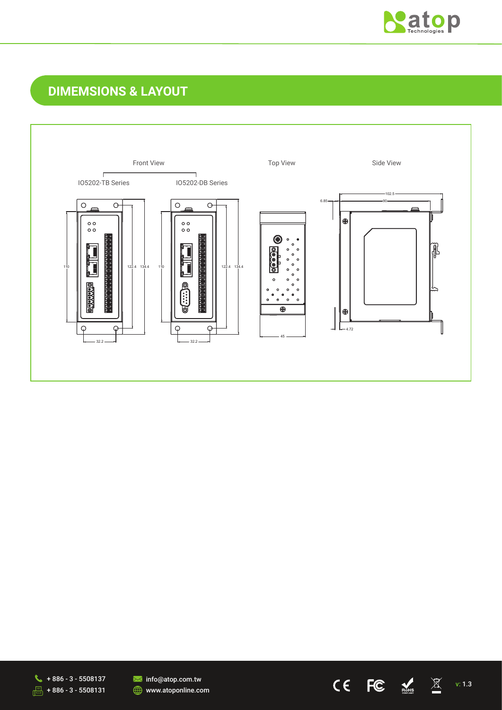

 $\underline{\boxtimes}$ 

 $M<sub>BS</sub>$ 

 $C \in$ 

 $FC$ 

# **DIMEMSIONS & LAYOUT**





**M** info@atop.com.tw www.atoponline.com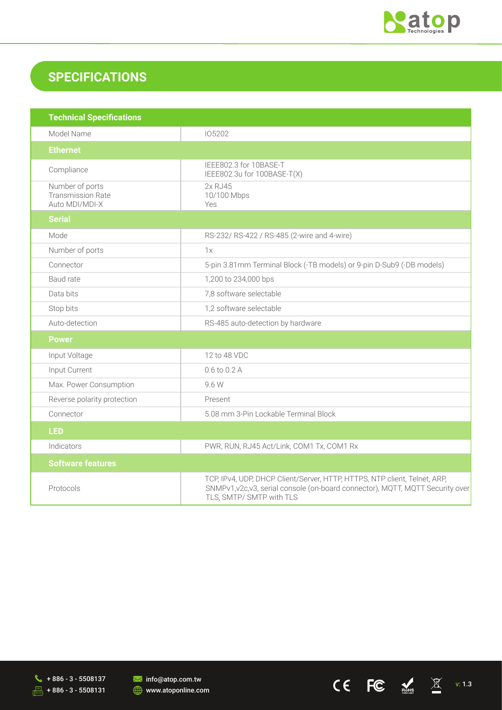

CE FC  $\leq$  X

# **SPECIFICATIONS**

| <b>Technical Specifications</b>                               |                                                                                                                                                                                         |
|---------------------------------------------------------------|-----------------------------------------------------------------------------------------------------------------------------------------------------------------------------------------|
| Model Name                                                    | 105202                                                                                                                                                                                  |
| <b>Ethernet</b>                                               |                                                                                                                                                                                         |
| Compliance                                                    | IEEE802.3 for 10BASE-T<br>IEEE802.3u for 100BASE-T(X)                                                                                                                                   |
| Number of ports<br><b>Transmission Rate</b><br>Auto MDI/MDI-X | 2x RJ45<br>10/100 Mbps<br>Yes                                                                                                                                                           |
| <b>Serial</b>                                                 |                                                                                                                                                                                         |
| Mode                                                          | RS-232/ RS-422 / RS-485 (2-wire and 4-wire)                                                                                                                                             |
| Number of ports                                               | 1x                                                                                                                                                                                      |
| Connector                                                     | 5-pin 3.81mm Terminal Block (-TB models) or 9-pin D-Sub9 (-DB models)                                                                                                                   |
| Baud rate                                                     | 1,200 to 234,000 bps                                                                                                                                                                    |
| Data bits                                                     | 7,8 software selectable                                                                                                                                                                 |
| Stop bits                                                     | 1,2 software selectable                                                                                                                                                                 |
| Auto-detection                                                | RS-485 auto-detection by hardware                                                                                                                                                       |
| <b>Power</b>                                                  |                                                                                                                                                                                         |
| Input Voltage                                                 | 12 to 48 VDC                                                                                                                                                                            |
| Input Current                                                 | 0.6 to 0.2 A                                                                                                                                                                            |
| Max. Power Consumption                                        | 9.6 W                                                                                                                                                                                   |
| Reverse polarity protection                                   | Present                                                                                                                                                                                 |
| Connector                                                     | 5.08 mm 3-Pin Lockable Terminal Block                                                                                                                                                   |
| <b>LED</b>                                                    |                                                                                                                                                                                         |
| Indicators                                                    | PWR, RUN, RJ45 Act/Link, COM1 Tx, COM1 Rx                                                                                                                                               |
| <b>Software features</b>                                      |                                                                                                                                                                                         |
| Protocols                                                     | TCP, IPv4, UDP, DHCP Client/Server, HTTP, HTTPS, NTP client, Telnet, ARP,<br>SNMPv1, v2c, v3, serial console (on-board connector), MQTT, MQTT Security over<br>TLS, SMTP/ SMTP with TLS |

 $\sqrt{18}$  + 886 - 3 - 5508137  $\sqrt{2}$  + 886 - 3 - 5508131

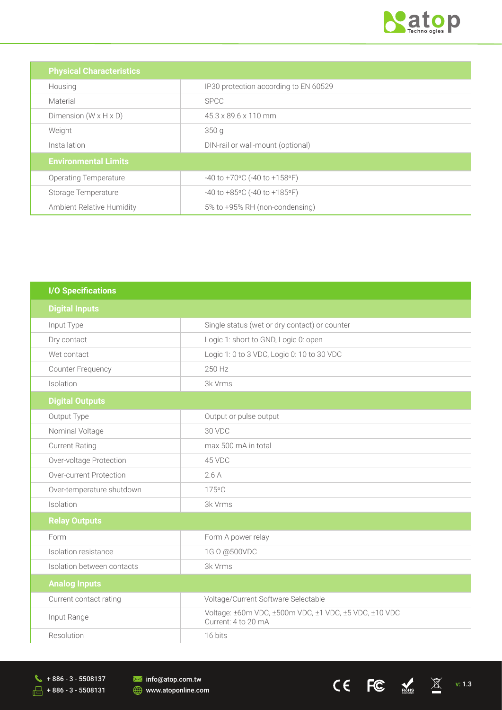

CE FC  $\leq$  X

| <b>Physical Characteristics</b>   |                                       |
|-----------------------------------|---------------------------------------|
| Housing                           | IP30 protection according to EN 60529 |
| Material                          | <b>SPCC</b>                           |
| Dimension $(W \times H \times D)$ | 45.3 x 89.6 x 110 mm                  |
| Weight                            | 350q                                  |
| Installation                      | DIN-rail or wall-mount (optional)     |
| <b>Environmental Limits</b>       |                                       |
| <b>Operating Temperature</b>      | $-40$ to $+70$ °C (-40 to $+158$ °F)  |
| Storage Temperature               | $-40$ to $+85$ °C (-40 to $+185$ °F)  |
| Ambient Relative Humidity         | 5% to +95% RH (non-condensing)        |

| <b>I/O Specifications</b>  |                                                                              |
|----------------------------|------------------------------------------------------------------------------|
| <b>Digital Inputs</b>      |                                                                              |
| Input Type                 | Single status (wet or dry contact) or counter                                |
| Dry contact                | Logic 1: short to GND, Logic 0: open                                         |
| Wet contact                | Logic 1: 0 to 3 VDC, Logic 0: 10 to 30 VDC                                   |
| <b>Counter Frequency</b>   | 250 Hz                                                                       |
| Isolation                  | 3k Vrms                                                                      |
| <b>Digital Outputs</b>     |                                                                              |
| Output Type                | Output or pulse output                                                       |
| Nominal Voltage            | 30 VDC                                                                       |
| <b>Current Rating</b>      | max 500 mA in total                                                          |
| Over-voltage Protection    | 45 VDC                                                                       |
| Over-current Protection    | 2.6A                                                                         |
| Over-temperature shutdown  | 175°C                                                                        |
| Isolation                  | 3k Vrms                                                                      |
| <b>Relay Outputs</b>       |                                                                              |
| Form                       | Form A power relay                                                           |
| Isolation resistance       | 1G Ω @500VDC                                                                 |
| Isolation between contacts | 3k Vrms                                                                      |
| <b>Analog Inputs</b>       |                                                                              |
| Current contact rating     | Voltage/Current Software Selectable                                          |
| Input Range                | Voltage: ±60m VDC, ±500m VDC, ±1 VDC, ±5 VDC, ±10 VDC<br>Current: 4 to 20 mA |
| Resolution                 | 16 bits                                                                      |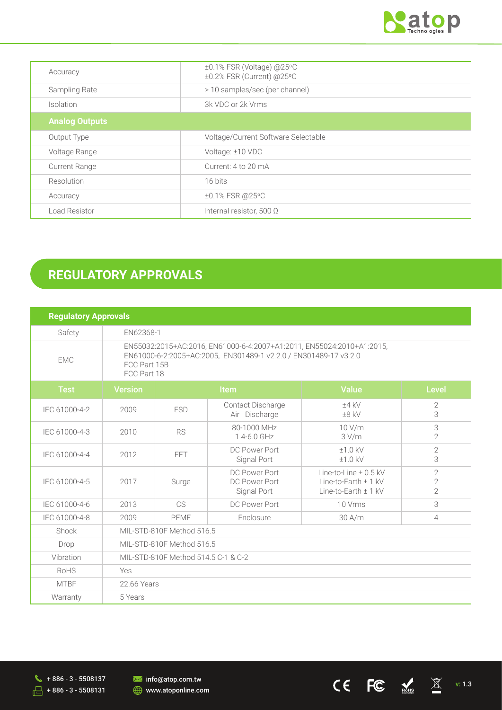

CE FC  $\leq$   $\frac{1}{2}$ 

| Accuracy              | ±0.1% FSR (Voltage) @25°C<br>±0.2% FSR (Current) @25°C |
|-----------------------|--------------------------------------------------------|
| Sampling Rate         | > 10 samples/sec (per channel)                         |
| <i>Isolation</i>      | 3k VDC or 2k Vrms                                      |
| <b>Analog Outputs</b> |                                                        |
| Output Type           | Voltage/Current Software Selectable                    |
| Voltage Range         | Voltage: ±10 VDC                                       |
| <b>Current Range</b>  | Current: 4 to 20 mA                                    |
| Resolution            | 16 bits                                                |
| Accuracy              | ±0.1% FSR @25°C                                        |
| Load Resistor         | Internal resistor, 500 $\Omega$                        |

# **REGULATORY APPROVALS**

| <b>Regulatory Approvals</b> |                                                                                                                                                                          |            |                                               |                                                                                   |                                                    |
|-----------------------------|--------------------------------------------------------------------------------------------------------------------------------------------------------------------------|------------|-----------------------------------------------|-----------------------------------------------------------------------------------|----------------------------------------------------|
| Safety                      |                                                                                                                                                                          | EN62368-1  |                                               |                                                                                   |                                                    |
| <b>EMC</b>                  | EN55032:2015+AC:2016, EN61000-6-4:2007+A1:2011, EN55024:2010+A1:2015,<br>EN61000-6-2:2005+AC:2005, EN301489-1 v2.2.0 / EN301489-17 v3.2.0<br>FCC Part 15B<br>FCC Part 18 |            |                                               |                                                                                   |                                                    |
| <b>Test</b>                 | <b>Version</b>                                                                                                                                                           | Item       |                                               | <b>Value</b>                                                                      | <b>Level</b>                                       |
| IEC 61000-4-2               | 2009                                                                                                                                                                     | <b>ESD</b> | Contact Discharge<br>Air Discharge            | $±4$ kV<br>$±8$ kV                                                                | $\mathbf{2}$<br>3                                  |
| IEC 61000-4-3               | 2010                                                                                                                                                                     | <b>RS</b>  | 80-1000 MHz<br>$1.4 - 6.0$ GHz                | 10 V/m<br>3 V/m                                                                   | 3<br>$\overline{2}$                                |
| IEC 61000-4-4               | 2012                                                                                                                                                                     | <b>FFT</b> | DC Power Port<br>Signal Port                  | $±1.0$ kV<br>$±1.0$ kV                                                            | $\overline{2}$<br>3                                |
| IEC 61000-4-5               | 2017                                                                                                                                                                     | Surge      | DC Power Port<br>DC Power Port<br>Signal Port | Line-to-Line $\pm$ 0.5 kV<br>Line-to-Earth $\pm$ 1 kV<br>Line-to-Earth $\pm$ 1 kV | $\overline{2}$<br>$\overline{2}$<br>$\overline{2}$ |
| IEC 61000-4-6               | 2013                                                                                                                                                                     | CS         | DC Power Port                                 | 10 Vrms                                                                           | 3                                                  |
| IEC 61000-4-8               | 2009                                                                                                                                                                     | PFMF       | Enclosure                                     | $30$ A/m                                                                          | $\overline{4}$                                     |
| Shock                       | MIL-STD-810F Method 516.5                                                                                                                                                |            |                                               |                                                                                   |                                                    |
| Drop                        | MIL-STD-810F Method 516.5                                                                                                                                                |            |                                               |                                                                                   |                                                    |
| Vibration                   | MIL-STD-810F Method 514.5 C-1 & C-2                                                                                                                                      |            |                                               |                                                                                   |                                                    |
| <b>RoHS</b>                 | Yes                                                                                                                                                                      |            |                                               |                                                                                   |                                                    |
| <b>MTBF</b>                 | 22.66 Years                                                                                                                                                              |            |                                               |                                                                                   |                                                    |
| Warranty                    | 5 Years                                                                                                                                                                  |            |                                               |                                                                                   |                                                    |

**M** info@atop.com.tw **WWW.atoponline.com**